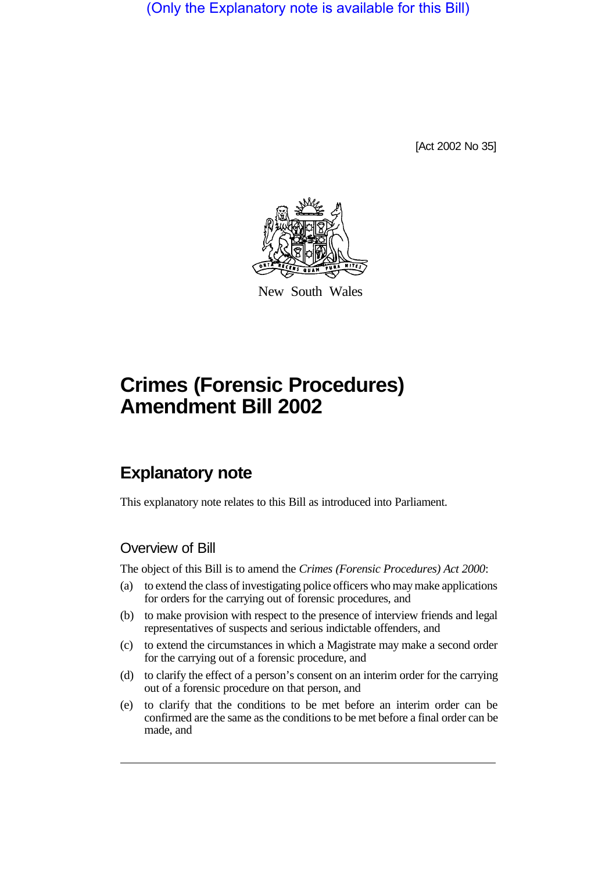(Only the Explanatory note is available for this Bill)

[Act 2002 No 35]



New South Wales

# **Crimes (Forensic Procedures) Amendment Bill 2002**

# **Explanatory note**

This explanatory note relates to this Bill as introduced into Parliament.

## Overview of Bill

The object of this Bill is to amend the *Crimes (Forensic Procedures) Act 2000*:

- (a) to extend the class of investigating police officers who may make applications for orders for the carrying out of forensic procedures, and
- (b) to make provision with respect to the presence of interview friends and legal representatives of suspects and serious indictable offenders, and
- (c) to extend the circumstances in which a Magistrate may make a second order for the carrying out of a forensic procedure, and
- (d) to clarify the effect of a person's consent on an interim order for the carrying out of a forensic procedure on that person, and
- (e) to clarify that the conditions to be met before an interim order can be confirmed are the same as the conditions to be met before a final order can be made, and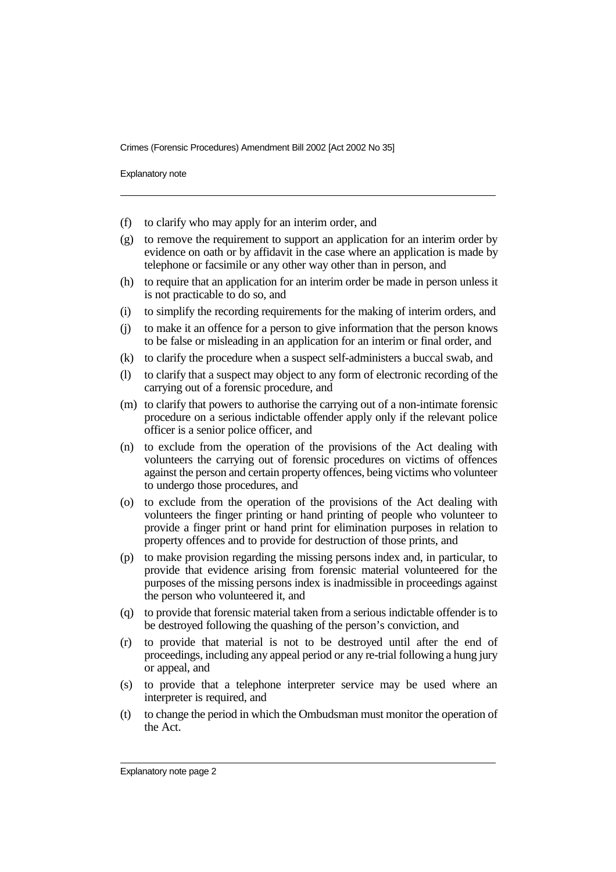Explanatory note

- (f) to clarify who may apply for an interim order, and
- (g) to remove the requirement to support an application for an interim order by evidence on oath or by affidavit in the case where an application is made by telephone or facsimile or any other way other than in person, and
- (h) to require that an application for an interim order be made in person unless it is not practicable to do so, and
- (i) to simplify the recording requirements for the making of interim orders, and
- (j) to make it an offence for a person to give information that the person knows to be false or misleading in an application for an interim or final order, and
- (k) to clarify the procedure when a suspect self-administers a buccal swab, and
- (l) to clarify that a suspect may object to any form of electronic recording of the carrying out of a forensic procedure, and
- (m) to clarify that powers to authorise the carrying out of a non-intimate forensic procedure on a serious indictable offender apply only if the relevant police officer is a senior police officer, and
- (n) to exclude from the operation of the provisions of the Act dealing with volunteers the carrying out of forensic procedures on victims of offences against the person and certain property offences, being victims who volunteer to undergo those procedures, and
- (o) to exclude from the operation of the provisions of the Act dealing with volunteers the finger printing or hand printing of people who volunteer to provide a finger print or hand print for elimination purposes in relation to property offences and to provide for destruction of those prints, and
- (p) to make provision regarding the missing persons index and, in particular, to provide that evidence arising from forensic material volunteered for the purposes of the missing persons index is inadmissible in proceedings against the person who volunteered it, and
- (q) to provide that forensic material taken from a serious indictable offender is to be destroyed following the quashing of the person's conviction, and
- (r) to provide that material is not to be destroyed until after the end of proceedings, including any appeal period or any re-trial following a hung jury or appeal, and
- (s) to provide that a telephone interpreter service may be used where an interpreter is required, and
- (t) to change the period in which the Ombudsman must monitor the operation of the Act.

Explanatory note page 2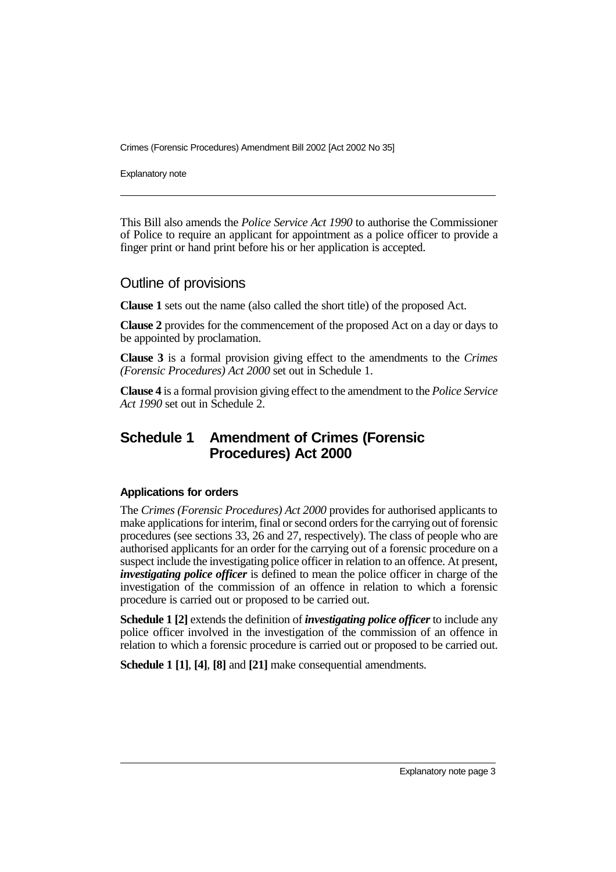Explanatory note

This Bill also amends the *Police Service Act 1990* to authorise the Commissioner of Police to require an applicant for appointment as a police officer to provide a finger print or hand print before his or her application is accepted.

### Outline of provisions

**Clause 1** sets out the name (also called the short title) of the proposed Act.

**Clause 2** provides for the commencement of the proposed Act on a day or days to be appointed by proclamation.

**Clause 3** is a formal provision giving effect to the amendments to the *Crimes (Forensic Procedures) Act 2000* set out in Schedule 1.

**Clause 4** is a formal provision giving effect to the amendment to the *Police Service Act 1990* set out in Schedule 2.

## **Schedule 1 Amendment of Crimes (Forensic Procedures) Act 2000**

#### **Applications for orders**

The *Crimes (Forensic Procedures) Act 2000* provides for authorised applicants to make applications for interim, final or second orders for the carrying out of forensic procedures (see sections 33, 26 and 27, respectively). The class of people who are authorised applicants for an order for the carrying out of a forensic procedure on a suspect include the investigating police officer in relation to an offence. At present, *investigating police officer* is defined to mean the police officer in charge of the investigation of the commission of an offence in relation to which a forensic procedure is carried out or proposed to be carried out.

**Schedule 1 [2]** extends the definition of *investigating police officer* to include any police officer involved in the investigation of the commission of an offence in relation to which a forensic procedure is carried out or proposed to be carried out.

**Schedule 1 [1]**, **[4]**, **[8]** and **[21]** make consequential amendments.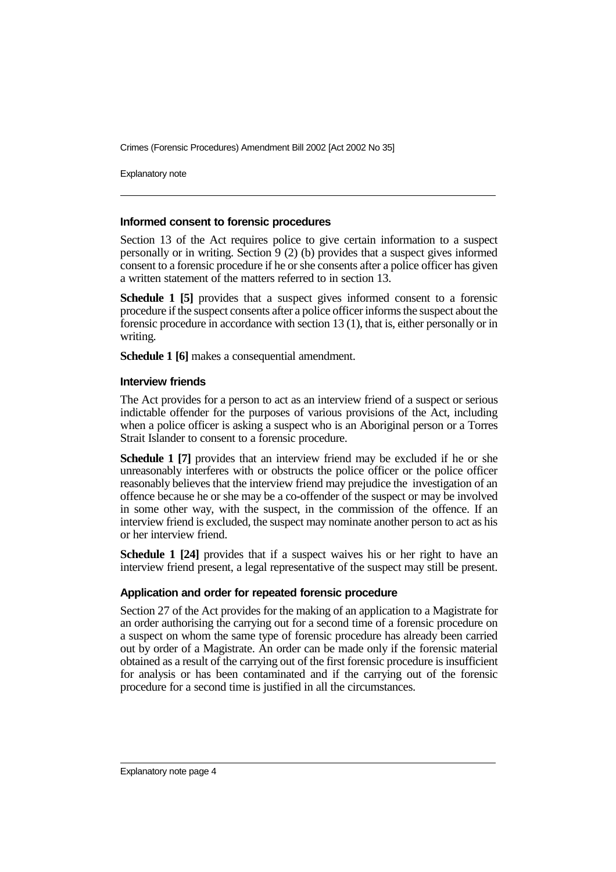Explanatory note

#### **Informed consent to forensic procedures**

Section 13 of the Act requires police to give certain information to a suspect personally or in writing. Section 9 (2) (b) provides that a suspect gives informed consent to a forensic procedure if he or she consents after a police officer has given a written statement of the matters referred to in section 13.

**Schedule 1 [5]** provides that a suspect gives informed consent to a forensic procedure if the suspect consents after a police officer informs the suspect about the forensic procedure in accordance with section 13 (1), that is, either personally or in writing.

**Schedule 1 [6]** makes a consequential amendment.

#### **Interview friends**

The Act provides for a person to act as an interview friend of a suspect or serious indictable offender for the purposes of various provisions of the Act, including when a police officer is asking a suspect who is an Aboriginal person or a Torres Strait Islander to consent to a forensic procedure.

**Schedule 1 [7]** provides that an interview friend may be excluded if he or she unreasonably interferes with or obstructs the police officer or the police officer reasonably believes that the interview friend may prejudice the investigation of an offence because he or she may be a co-offender of the suspect or may be involved in some other way, with the suspect, in the commission of the offence. If an interview friend is excluded, the suspect may nominate another person to act as his or her interview friend.

**Schedule 1 [24]** provides that if a suspect waives his or her right to have an interview friend present, a legal representative of the suspect may still be present.

#### **Application and order for repeated forensic procedure**

Section 27 of the Act provides for the making of an application to a Magistrate for an order authorising the carrying out for a second time of a forensic procedure on a suspect on whom the same type of forensic procedure has already been carried out by order of a Magistrate. An order can be made only if the forensic material obtained as a result of the carrying out of the first forensic procedure is insufficient for analysis or has been contaminated and if the carrying out of the forensic procedure for a second time is justified in all the circumstances.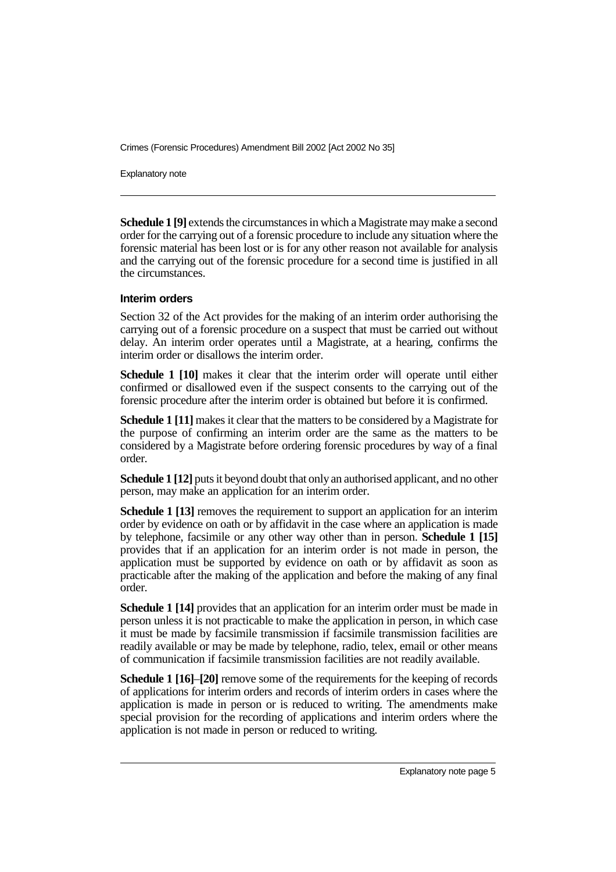Explanatory note

**Schedule 1 [9]** extends the circumstances in which a Magistrate may make a second order for the carrying out of a forensic procedure to include any situation where the forensic material has been lost or is for any other reason not available for analysis and the carrying out of the forensic procedure for a second time is justified in all the circumstances.

#### **Interim orders**

Section 32 of the Act provides for the making of an interim order authorising the carrying out of a forensic procedure on a suspect that must be carried out without delay. An interim order operates until a Magistrate, at a hearing, confirms the interim order or disallows the interim order.

**Schedule 1 [10]** makes it clear that the interim order will operate until either confirmed or disallowed even if the suspect consents to the carrying out of the forensic procedure after the interim order is obtained but before it is confirmed.

**Schedule 1 [11]** makes it clear that the matters to be considered by a Magistrate for the purpose of confirming an interim order are the same as the matters to be considered by a Magistrate before ordering forensic procedures by way of a final order.

**Schedule 1 [12]** puts it beyond doubt that only an authorised applicant, and no other person, may make an application for an interim order.

**Schedule 1 [13]** removes the requirement to support an application for an interim order by evidence on oath or by affidavit in the case where an application is made by telephone, facsimile or any other way other than in person. **Schedule 1 [15]** provides that if an application for an interim order is not made in person, the application must be supported by evidence on oath or by affidavit as soon as practicable after the making of the application and before the making of any final order.

**Schedule 1 [14]** provides that an application for an interim order must be made in person unless it is not practicable to make the application in person, in which case it must be made by facsimile transmission if facsimile transmission facilities are readily available or may be made by telephone, radio, telex, email or other means of communication if facsimile transmission facilities are not readily available.

**Schedule 1 [16]**–**[20]** remove some of the requirements for the keeping of records of applications for interim orders and records of interim orders in cases where the application is made in person or is reduced to writing. The amendments make special provision for the recording of applications and interim orders where the application is not made in person or reduced to writing.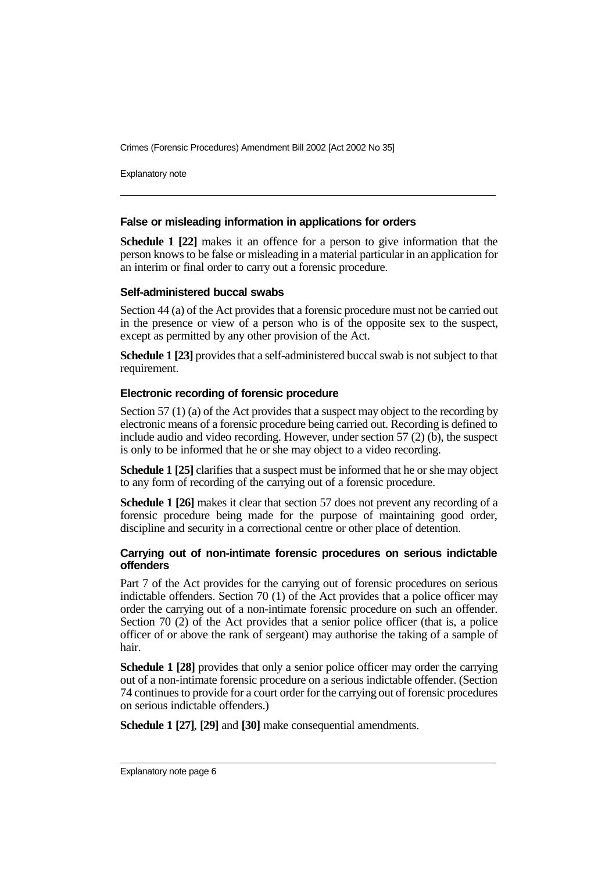Explanatory note

#### **False or misleading information in applications for orders**

**Schedule 1 [22]** makes it an offence for a person to give information that the person knows to be false or misleading in a material particular in an application for an interim or final order to carry out a forensic procedure.

#### **Self-administered buccal swabs**

Section 44 (a) of the Act provides that a forensic procedure must not be carried out in the presence or view of a person who is of the opposite sex to the suspect, except as permitted by any other provision of the Act.

**Schedule 1 [23]** provides that a self-administered buccal swab is not subject to that requirement.

#### **Electronic recording of forensic procedure**

Section 57 (1) (a) of the Act provides that a suspect may object to the recording by electronic means of a forensic procedure being carried out. Recording is defined to include audio and video recording. However, under section 57 (2) (b), the suspect is only to be informed that he or she may object to a video recording.

**Schedule 1 [25]** clarifies that a suspect must be informed that he or she may object to any form of recording of the carrying out of a forensic procedure.

**Schedule 1 [26]** makes it clear that section 57 does not prevent any recording of a forensic procedure being made for the purpose of maintaining good order, discipline and security in a correctional centre or other place of detention.

#### **Carrying out of non-intimate forensic procedures on serious indictable offenders**

Part 7 of the Act provides for the carrying out of forensic procedures on serious indictable offenders. Section 70 (1) of the Act provides that a police officer may order the carrying out of a non-intimate forensic procedure on such an offender. Section 70 (2) of the Act provides that a senior police officer (that is, a police officer of or above the rank of sergeant) may authorise the taking of a sample of hair.

**Schedule 1 [28]** provides that only a senior police officer may order the carrying out of a non-intimate forensic procedure on a serious indictable offender. (Section 74 continues to provide for a court order for the carrying out of forensic procedures on serious indictable offenders.)

**Schedule 1 [27]**, **[29]** and **[30]** make consequential amendments.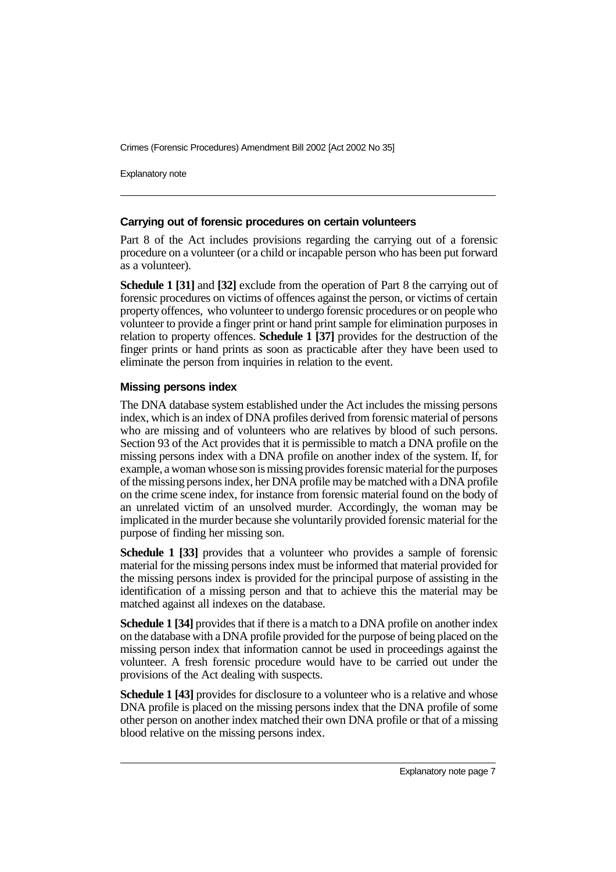Explanatory note

#### **Carrying out of forensic procedures on certain volunteers**

Part 8 of the Act includes provisions regarding the carrying out of a forensic procedure on a volunteer (or a child or incapable person who has been put forward as a volunteer).

**Schedule 1 [31]** and **[32]** exclude from the operation of Part 8 the carrying out of forensic procedures on victims of offences against the person, or victims of certain property offences, who volunteer to undergo forensic procedures or on people who volunteer to provide a finger print or hand print sample for elimination purposes in relation to property offences. **Schedule 1 [37]** provides for the destruction of the finger prints or hand prints as soon as practicable after they have been used to eliminate the person from inquiries in relation to the event.

#### **Missing persons index**

The DNA database system established under the Act includes the missing persons index, which is an index of DNA profiles derived from forensic material of persons who are missing and of volunteers who are relatives by blood of such persons. Section 93 of the Act provides that it is permissible to match a DNA profile on the missing persons index with a DNA profile on another index of the system. If, for example, a woman whose son is missing provides forensic material for the purposes of the missing persons index, her DNA profile may be matched with a DNA profile on the crime scene index, for instance from forensic material found on the body of an unrelated victim of an unsolved murder. Accordingly, the woman may be implicated in the murder because she voluntarily provided forensic material for the purpose of finding her missing son.

**Schedule 1 [33]** provides that a volunteer who provides a sample of forensic material for the missing persons index must be informed that material provided for the missing persons index is provided for the principal purpose of assisting in the identification of a missing person and that to achieve this the material may be matched against all indexes on the database.

**Schedule 1 [34]** provides that if there is a match to a DNA profile on another index on the database with a DNA profile provided for the purpose of being placed on the missing person index that information cannot be used in proceedings against the volunteer. A fresh forensic procedure would have to be carried out under the provisions of the Act dealing with suspects.

**Schedule 1 [43]** provides for disclosure to a volunteer who is a relative and whose DNA profile is placed on the missing persons index that the DNA profile of some other person on another index matched their own DNA profile or that of a missing blood relative on the missing persons index.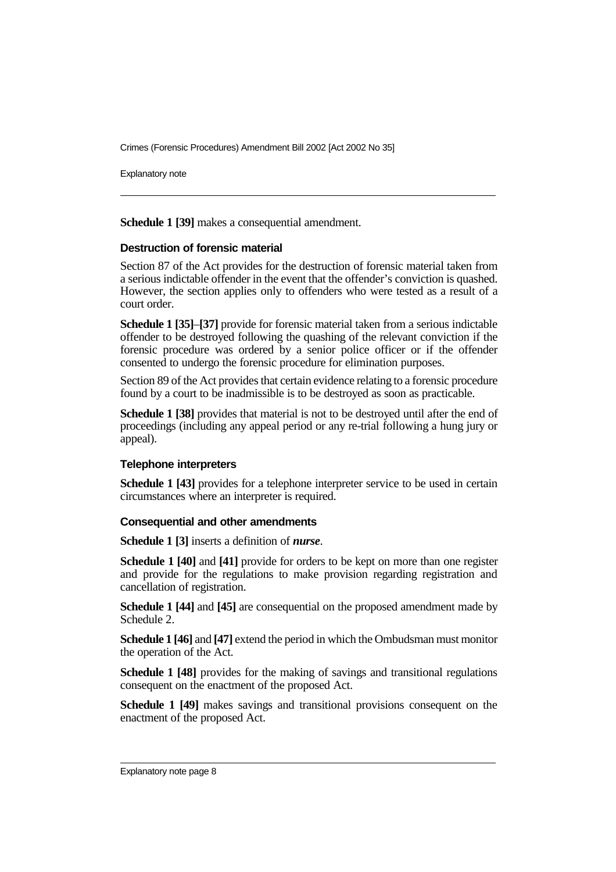Explanatory note

**Schedule 1 [39]** makes a consequential amendment.

#### **Destruction of forensic material**

Section 87 of the Act provides for the destruction of forensic material taken from a serious indictable offender in the event that the offender's conviction is quashed. However, the section applies only to offenders who were tested as a result of a court order.

**Schedule 1 [35]**–**[37]** provide for forensic material taken from a serious indictable offender to be destroyed following the quashing of the relevant conviction if the forensic procedure was ordered by a senior police officer or if the offender consented to undergo the forensic procedure for elimination purposes.

Section 89 of the Act provides that certain evidence relating to a forensic procedure found by a court to be inadmissible is to be destroyed as soon as practicable.

**Schedule 1 [38]** provides that material is not to be destroyed until after the end of proceedings (including any appeal period or any re-trial following a hung jury or appeal).

#### **Telephone interpreters**

**Schedule 1 [43]** provides for a telephone interpreter service to be used in certain circumstances where an interpreter is required.

#### **Consequential and other amendments**

**Schedule 1 [3]** inserts a definition of *nurse*.

**Schedule 1 [40]** and **[41]** provide for orders to be kept on more than one register and provide for the regulations to make provision regarding registration and cancellation of registration.

**Schedule 1 [44]** and **[45]** are consequential on the proposed amendment made by Schedule 2.

**Schedule 1 [46]** and **[47]** extend the period in which the Ombudsman must monitor the operation of the Act.

**Schedule 1 [48]** provides for the making of savings and transitional regulations consequent on the enactment of the proposed Act.

**Schedule 1 [49]** makes savings and transitional provisions consequent on the enactment of the proposed Act.